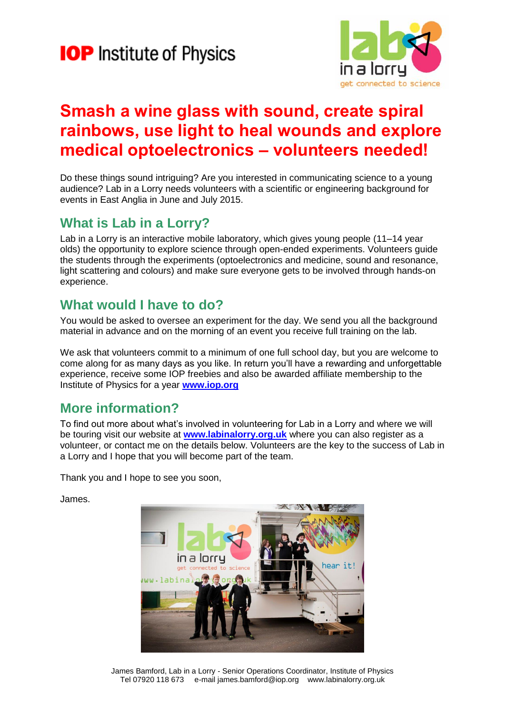# **IOP** Institute of Physics



### **Smash a wine glass with sound, create spiral rainbows, use light to heal wounds and explore medical optoelectronics – volunteers needed!**

Do these things sound intriguing? Are you interested in communicating science to a young audience? Lab in a Lorry needs volunteers with a scientific or engineering background for events in East Anglia in June and July 2015.

#### **What is Lab in a Lorry?**

Lab in a Lorry is an interactive mobile laboratory, which gives young people (11–14 year olds) the opportunity to explore science through open-ended experiments. Volunteers guide the students through the experiments (optoelectronics and medicine, sound and resonance, light scattering and colours) and make sure everyone gets to be involved through hands-on experience.

#### **What would I have to do?**

You would be asked to oversee an experiment for the day. We send you all the background material in advance and on the morning of an event you receive full training on the lab.

We ask that volunteers commit to a minimum of one full school day, but you are welcome to come along for as many days as you like. In return you'll have a rewarding and unforgettable experience, receive some IOP freebies and also be awarded affiliate membership to the Institute of Physics for a year **www.iop.org**

### **More information?**

To find out more about what's involved in volunteering for Lab in a Lorry and where we will be touring visit our website at **[www.labinalorry.org.uk](http://www.labinalorry.org.uk/)** where you can also register as a volunteer, or contact me on the details below. Volunteers are the key to the success of Lab in a Lorry and I hope that you will become part of the team.

Thank you and I hope to see you soon,

James.



James Bamford, Lab in a Lorry - Senior Operations Coordinator, Institute of Physics Tel 07920 118 673 e-mail james.bamford@iop.org www.labinalorry.org.uk